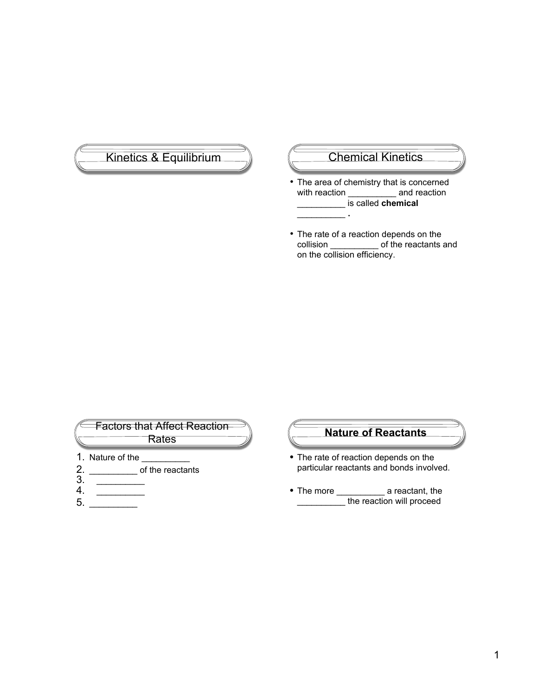# Kinetics & Equilibrium (Chemical Kinetics

- The area of chemistry that is concerned with reaction \_\_\_\_\_\_\_\_\_\_\_\_ and reaction \_\_\_\_\_\_\_\_\_\_ is called **chemical** \_\_\_\_\_\_\_\_\_\_ **.**
- The rate of a reaction depends on the collision \_\_\_\_\_\_\_\_\_\_ of the reactants and on the collision efficiency.



#### **Nature of Reactants**

- The rate of reaction depends on the particular reactants and bonds involved.
- The more \_\_\_\_\_\_\_\_\_\_\_ a reactant, the \_\_\_\_\_\_\_\_\_\_ the reaction will proceed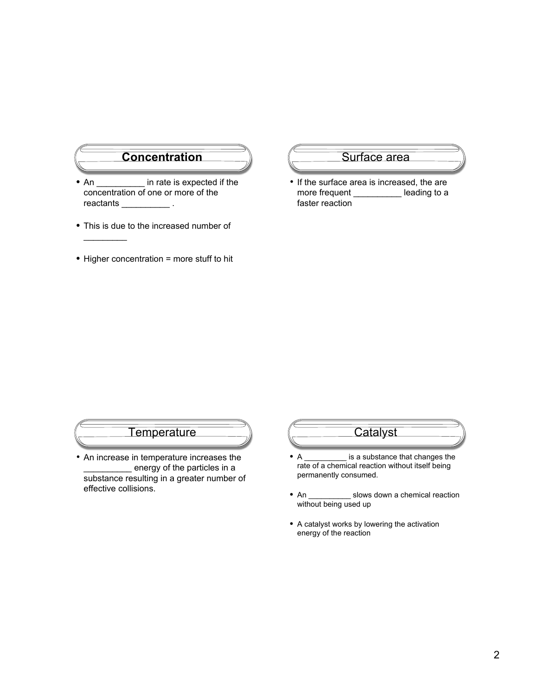### **Concentration**

- An  $\bullet$  in rate is expected if the concentration of one or more of the reactants \_\_\_\_\_\_\_\_\_\_\_\_\_\_\_.
- This is due to the increased number of

 $\frac{1}{2}$ 

• Higher concentration = more stuff to hit

#### Surface area

• If the surface area is increased, the are more frequent \_\_\_\_\_\_\_\_\_\_\_\_ leading to a faster reaction

### **Temperature**

• An increase in temperature increases the energy of the particles in a substance resulting in a greater number of effective collisions.

# **Catalyst**

- A \_\_\_\_\_\_\_\_\_\_\_ is a substance that changes the rate of a chemical reaction without itself being permanently consumed.
- An \_\_\_\_\_\_\_\_\_\_\_ slows down a chemical reaction without being used up
- A catalyst works by lowering the activation energy of the reaction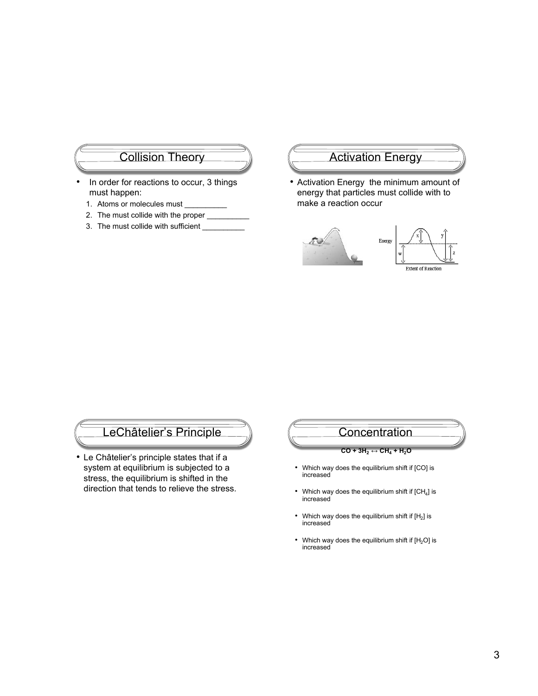#### Collision Theory

- In order for reactions to occur, 3 things must happen:
	- 1. Atoms or molecules must
	- 2. The must collide with the proper \_
	- 3. The must collide with sufficient

### **Activation Energy**

• Activation Energy the minimum amount of energy that particles must collide with to make a reaction occur



### LeChâtelier's Principle

• Le Châtelier's principle states that if a system at equilibrium is subjected to a stress, the equilibrium is shifted in the direction that tends to relieve the stress*.*



- Which way does the equilibrium shift if [CO] is increased
- Which way does the equilibrium shift if  $[CH<sub>4</sub>]$  is increased
- Which way does the equilibrium shift if  $[H_2]$  is increased
- Which way does the equilibrium shift if  $[H_2O]$  is increased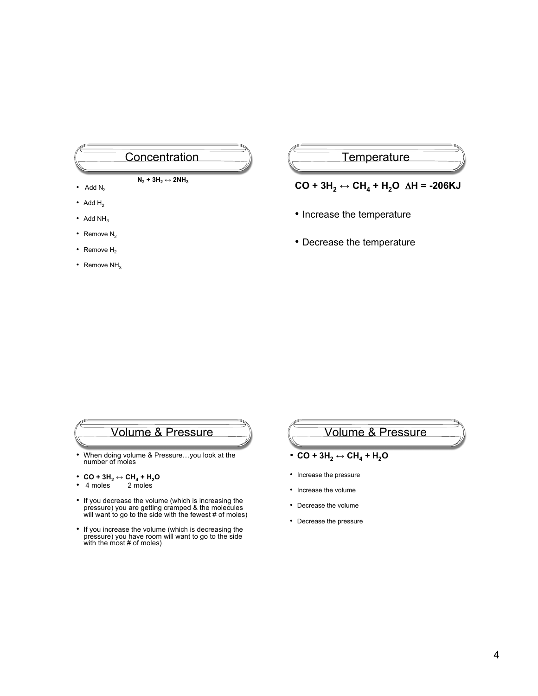# **Concentration**

- $N_2$  + 3H<sub>2</sub>  $\leftrightarrow$  2NH<sub>3</sub>
- Add  $N_2$
- Add  $H_2$
- Add  $NH<sub>3</sub>$
- Remove  $N_2$
- Remove  $H_2$
- Remove  $NH<sub>3</sub>$

#### **Temperature**

#### $CO + 3H_2 \leftrightarrow CH_4 + H_2O \Delta H = -206 \text{KJ}$

- Increase the temperature
- Decrease the temperature

### Volume & Pressure

- When doing volume & Pressure…you look at the number of moles
- $CO + 3H_2 \leftrightarrow CH_4 + H_2O$ <br>•  $4 \text{ moles}$  2 moles
- $4$  moles
- If you decrease the volume (which is increasing the pressure) you are getting cramped & the molecules will want to go to the side with the fewest # of moles)
- If you increase the volume (which is decreasing the pressure) you have room will want to go to the side with the most # of moles)

# Volume & Pressure

- $\cdot$  CO + 3H<sub>2</sub>  $\leftrightarrow$  CH<sub>4</sub> + H<sub>2</sub>O
- Increase the pressure
- Increase the volume
- Decrease the volume
- Decrease the pressure